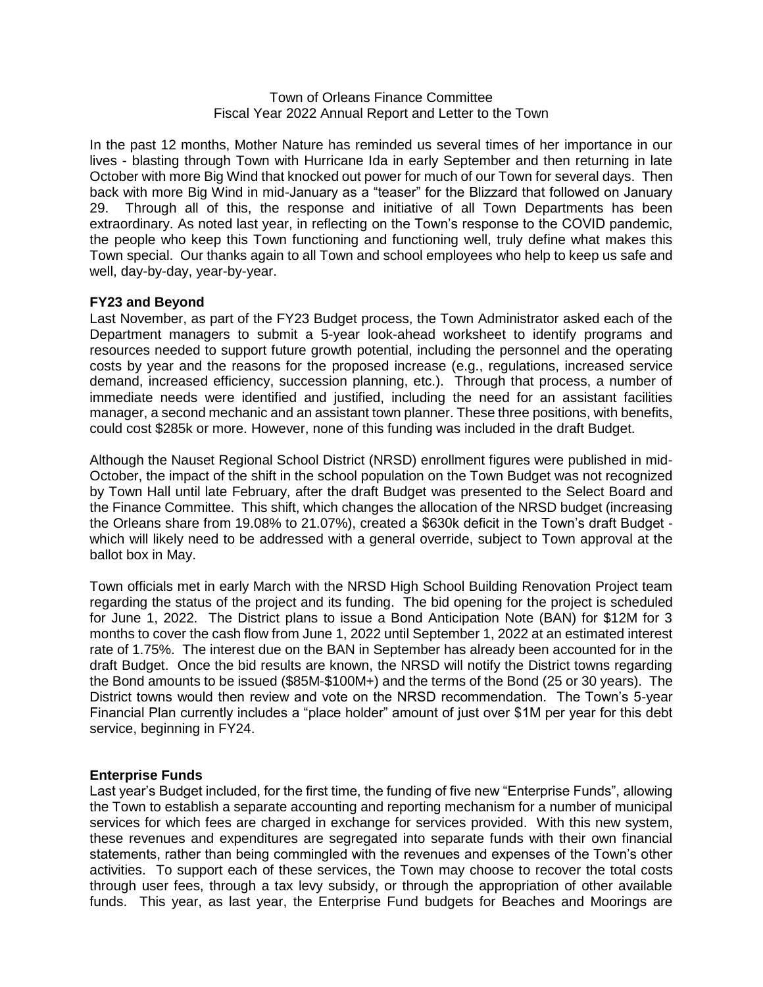### Town of Orleans Finance Committee Fiscal Year 2022 Annual Report and Letter to the Town

In the past 12 months, Mother Nature has reminded us several times of her importance in our lives - blasting through Town with Hurricane Ida in early September and then returning in late October with more Big Wind that knocked out power for much of our Town for several days. Then back with more Big Wind in mid-January as a "teaser" for the Blizzard that followed on January 29. Through all of this, the response and initiative of all Town Departments has been extraordinary. As noted last year, in reflecting on the Town's response to the COVID pandemic, the people who keep this Town functioning and functioning well, truly define what makes this Town special. Our thanks again to all Town and school employees who help to keep us safe and well, day-by-day, year-by-year.

# **FY23 and Beyond**

Last November, as part of the FY23 Budget process, the Town Administrator asked each of the Department managers to submit a 5-year look-ahead worksheet to identify programs and resources needed to support future growth potential, including the personnel and the operating costs by year and the reasons for the proposed increase (e.g., regulations, increased service demand, increased efficiency, succession planning, etc.). Through that process, a number of immediate needs were identified and justified, including the need for an assistant facilities manager, a second mechanic and an assistant town planner. These three positions, with benefits, could cost \$285k or more. However, none of this funding was included in the draft Budget.

Although the Nauset Regional School District (NRSD) enrollment figures were published in mid-October, the impact of the shift in the school population on the Town Budget was not recognized by Town Hall until late February, after the draft Budget was presented to the Select Board and the Finance Committee. This shift, which changes the allocation of the NRSD budget (increasing the Orleans share from 19.08% to 21.07%), created a \$630k deficit in the Town's draft Budget which will likely need to be addressed with a general override, subject to Town approval at the ballot box in May.

Town officials met in early March with the NRSD High School Building Renovation Project team regarding the status of the project and its funding. The bid opening for the project is scheduled for June 1, 2022. The District plans to issue a Bond Anticipation Note (BAN) for \$12M for 3 months to cover the cash flow from June 1, 2022 until September 1, 2022 at an estimated interest rate of 1.75%. The interest due on the BAN in September has already been accounted for in the draft Budget. Once the bid results are known, the NRSD will notify the District towns regarding the Bond amounts to be issued (\$85M-\$100M+) and the terms of the Bond (25 or 30 years). The District towns would then review and vote on the NRSD recommendation. The Town's 5-year Financial Plan currently includes a "place holder" amount of just over \$1M per year for this debt service, beginning in FY24.

## **Enterprise Funds**

Last year's Budget included, for the first time, the funding of five new "Enterprise Funds", allowing the Town to establish a separate accounting and reporting mechanism for a number of municipal services for which fees are charged in exchange for services provided. With this new system, these revenues and expenditures are segregated into separate funds with their own financial statements, rather than being commingled with the revenues and expenses of the Town's other activities. To support each of these services, the Town may choose to recover the total costs through user fees, through a tax levy subsidy, or through the appropriation of other available funds. This year, as last year, the Enterprise Fund budgets for Beaches and Moorings are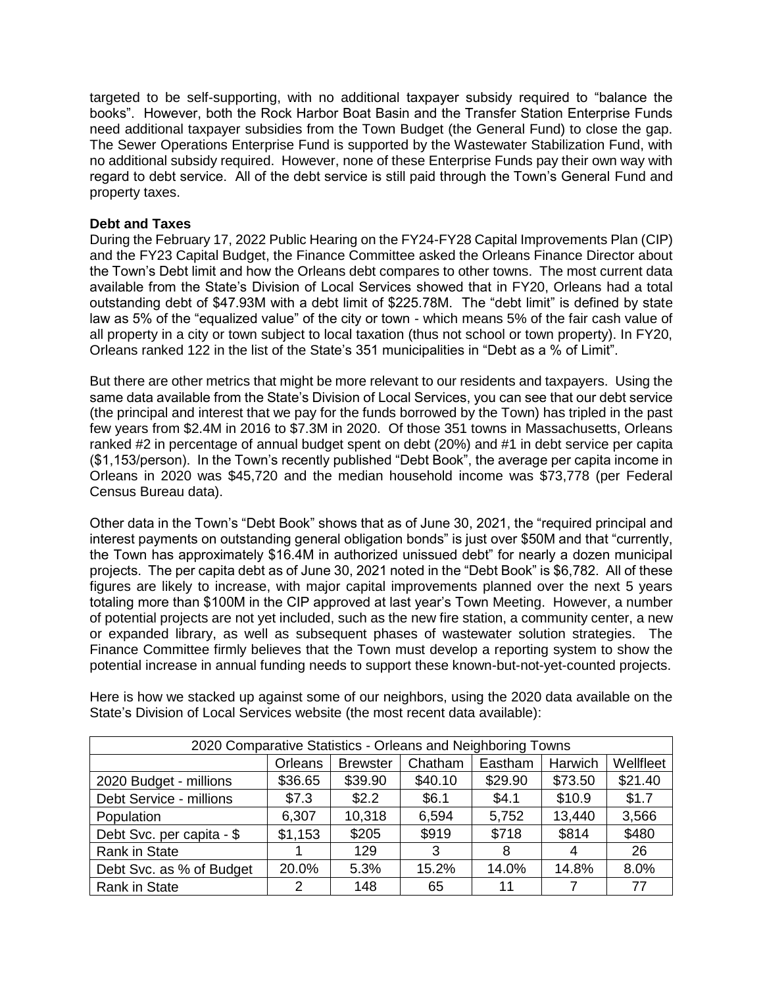targeted to be self-supporting, with no additional taxpayer subsidy required to "balance the books". However, both the Rock Harbor Boat Basin and the Transfer Station Enterprise Funds need additional taxpayer subsidies from the Town Budget (the General Fund) to close the gap. The Sewer Operations Enterprise Fund is supported by the Wastewater Stabilization Fund, with no additional subsidy required. However, none of these Enterprise Funds pay their own way with regard to debt service. All of the debt service is still paid through the Town's General Fund and property taxes.

# **Debt and Taxes**

During the February 17, 2022 Public Hearing on the FY24-FY28 Capital Improvements Plan (CIP) and the FY23 Capital Budget, the Finance Committee asked the Orleans Finance Director about the Town's Debt limit and how the Orleans debt compares to other towns. The most current data available from the State's Division of Local Services showed that in FY20, Orleans had a total outstanding debt of \$47.93M with a debt limit of \$225.78M. The "debt limit" is defined by state law as 5% of the "equalized value" of the city or town - which means 5% of the fair cash value of all property in a city or town subject to local taxation (thus not school or town property). In FY20, Orleans ranked 122 in the list of the State's 351 municipalities in "Debt as a % of Limit".

But there are other metrics that might be more relevant to our residents and taxpayers. Using the same data available from the State's Division of Local Services, you can see that our debt service (the principal and interest that we pay for the funds borrowed by the Town) has tripled in the past few years from \$2.4M in 2016 to \$7.3M in 2020. Of those 351 towns in Massachusetts, Orleans ranked #2 in percentage of annual budget spent on debt (20%) and #1 in debt service per capita (\$1,153/person). In the Town's recently published "Debt Book", the average per capita income in Orleans in 2020 was \$45,720 and the median household income was \$73,778 (per Federal Census Bureau data).

Other data in the Town's "Debt Book" shows that as of June 30, 2021, the "required principal and interest payments on outstanding general obligation bonds" is just over \$50M and that "currently, the Town has approximately \$16.4M in authorized unissued debt" for nearly a dozen municipal projects. The per capita debt as of June 30, 2021 noted in the "Debt Book" is \$6,782. All of these figures are likely to increase, with major capital improvements planned over the next 5 years totaling more than \$100M in the CIP approved at last year's Town Meeting. However, a number of potential projects are not yet included, such as the new fire station, a community center, a new or expanded library, as well as subsequent phases of wastewater solution strategies. The Finance Committee firmly believes that the Town must develop a reporting system to show the potential increase in annual funding needs to support these known-but-not-yet-counted projects.

| 2020 Comparative Statistics - Orleans and Neighboring Towns |               |                 |         |         |         |           |  |
|-------------------------------------------------------------|---------------|-----------------|---------|---------|---------|-----------|--|
|                                                             | Orleans       | <b>Brewster</b> | Chatham | Eastham | Harwich | Wellfleet |  |
| 2020 Budget - millions                                      | \$36.65       | \$39.90         | \$40.10 | \$29.90 | \$73.50 | \$21.40   |  |
| Debt Service - millions                                     | \$7.3         | \$2.2           | \$6.1   | \$4.1   | \$10.9  | \$1.7     |  |
| Population                                                  | 6,307         | 10,318          | 6,594   | 5,752   | 13,440  | 3,566     |  |
| Debt Svc. per capita - \$                                   | \$1,153       | \$205           | \$919   | \$718   | \$814   | \$480     |  |
| Rank in State                                               |               | 129             | 3       | 8       | 4       | 26        |  |
| Debt Svc. as % of Budget                                    | 20.0%         | 5.3%            | 15.2%   | 14.0%   | 14.8%   | 8.0%      |  |
| <b>Rank in State</b>                                        | $\mathcal{P}$ | 148             | 65      | 11      |         | 77        |  |

Here is how we stacked up against some of our neighbors, using the 2020 data available on the State's Division of Local Services website (the most recent data available):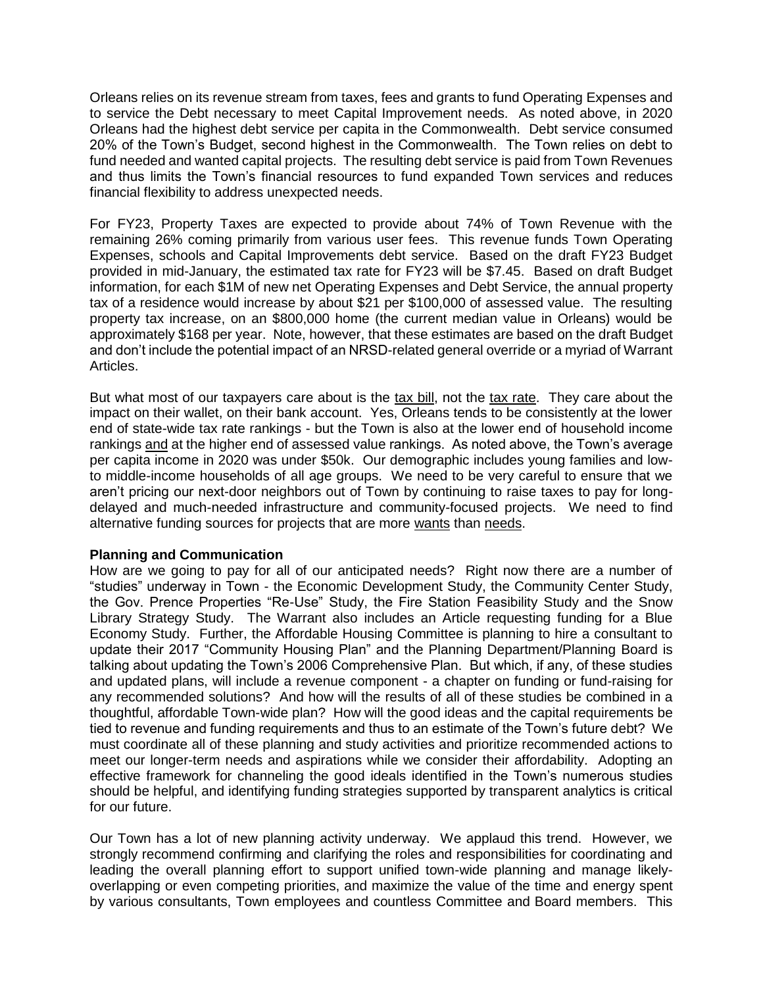Orleans relies on its revenue stream from taxes, fees and grants to fund Operating Expenses and to service the Debt necessary to meet Capital Improvement needs. As noted above, in 2020 Orleans had the highest debt service per capita in the Commonwealth. Debt service consumed 20% of the Town's Budget, second highest in the Commonwealth. The Town relies on debt to fund needed and wanted capital projects. The resulting debt service is paid from Town Revenues and thus limits the Town's financial resources to fund expanded Town services and reduces financial flexibility to address unexpected needs.

For FY23, Property Taxes are expected to provide about 74% of Town Revenue with the remaining 26% coming primarily from various user fees. This revenue funds Town Operating Expenses, schools and Capital Improvements debt service. Based on the draft FY23 Budget provided in mid-January, the estimated tax rate for FY23 will be \$7.45. Based on draft Budget information, for each \$1M of new net Operating Expenses and Debt Service, the annual property tax of a residence would increase by about \$21 per \$100,000 of assessed value. The resulting property tax increase, on an \$800,000 home (the current median value in Orleans) would be approximately \$168 per year. Note, however, that these estimates are based on the draft Budget and don't include the potential impact of an NRSD-related general override or a myriad of Warrant Articles.

But what most of our taxpayers care about is the tax bill, not the tax rate. They care about the impact on their wallet, on their bank account. Yes, Orleans tends to be consistently at the lower end of state-wide tax rate rankings - but the Town is also at the lower end of household income rankings and at the higher end of assessed value rankings. As noted above, the Town's average per capita income in 2020 was under \$50k. Our demographic includes young families and lowto middle-income households of all age groups. We need to be very careful to ensure that we aren't pricing our next-door neighbors out of Town by continuing to raise taxes to pay for longdelayed and much-needed infrastructure and community-focused projects. We need to find alternative funding sources for projects that are more wants than needs.

## **Planning and Communication**

How are we going to pay for all of our anticipated needs? Right now there are a number of "studies" underway in Town - the Economic Development Study, the Community Center Study, the Gov. Prence Properties "Re-Use" Study, the Fire Station Feasibility Study and the Snow Library Strategy Study. The Warrant also includes an Article requesting funding for a Blue Economy Study. Further, the Affordable Housing Committee is planning to hire a consultant to update their 2017 "Community Housing Plan" and the Planning Department/Planning Board is talking about updating the Town's 2006 Comprehensive Plan. But which, if any, of these studies and updated plans, will include a revenue component - a chapter on funding or fund-raising for any recommended solutions? And how will the results of all of these studies be combined in a thoughtful, affordable Town-wide plan? How will the good ideas and the capital requirements be tied to revenue and funding requirements and thus to an estimate of the Town's future debt? We must coordinate all of these planning and study activities and prioritize recommended actions to meet our longer-term needs and aspirations while we consider their affordability. Adopting an effective framework for channeling the good ideals identified in the Town's numerous studies should be helpful, and identifying funding strategies supported by transparent analytics is critical for our future.

Our Town has a lot of new planning activity underway. We applaud this trend. However, we strongly recommend confirming and clarifying the roles and responsibilities for coordinating and leading the overall planning effort to support unified town-wide planning and manage likelyoverlapping or even competing priorities, and maximize the value of the time and energy spent by various consultants, Town employees and countless Committee and Board members. This